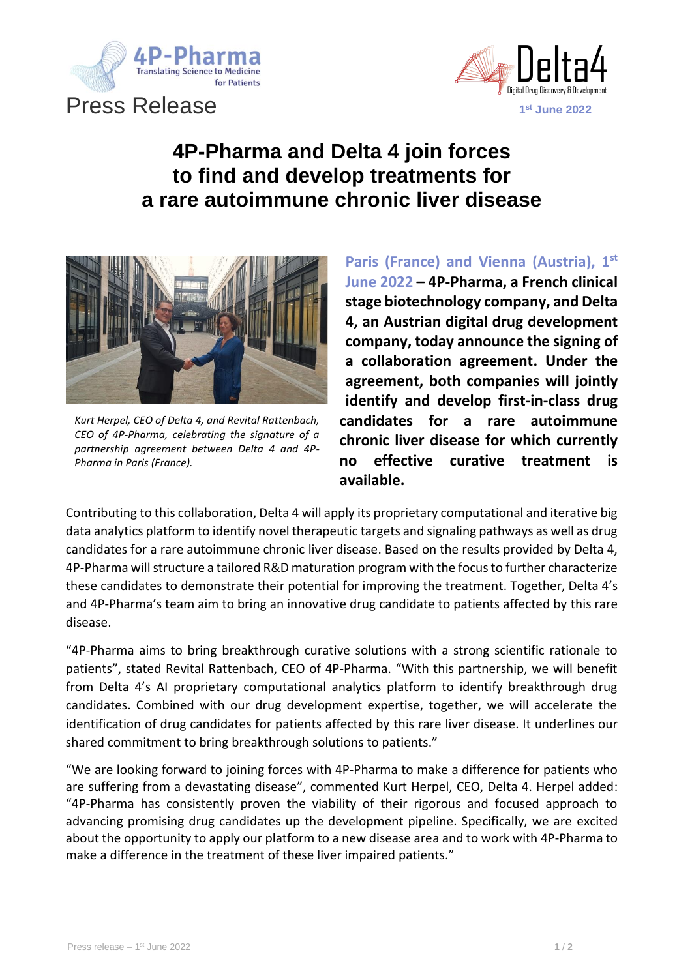

Press Release **<sup>1</sup>**



**4P-Pharma and Delta 4 join forces to find and develop treatments for a rare autoimmune chronic liver disease**



*Kurt Herpel, CEO of Delta 4, and Revital Rattenbach, CEO of 4P-Pharma, celebrating the signature of a partnership agreement between Delta 4 and 4P-Pharma in Paris (France).*

**Paris (France) and Vienna (Austria), 1 st June 2022 – 4P-Pharma, a French clinical stage biotechnology company, and Delta 4, an Austrian digital drug development company, today announce the signing of a collaboration agreement. Under the agreement, both companies will jointly identify and develop first-in-class drug candidates for a rare autoimmune chronic liver disease for which currently no effective curative treatment is available.**

Contributing to this collaboration, Delta 4 will apply its proprietary computational and iterative big data analytics platform to identify novel therapeutic targets and signaling pathways as well as drug candidates for a rare autoimmune chronic liver disease. Based on the results provided by Delta 4, 4P-Pharma will structure a tailored R&D maturation program with the focus to further characterize these candidates to demonstrate their potential for improving the treatment. Together, Delta 4's and 4P-Pharma's team aim to bring an innovative drug candidate to patients affected by this rare disease.

"4P-Pharma aims to bring breakthrough curative solutions with a strong scientific rationale to patients", stated Revital Rattenbach, CEO of 4P-Pharma. "With this partnership, we will benefit from Delta 4's AI proprietary computational analytics platform to identify breakthrough drug candidates. Combined with our drug development expertise, together, we will accelerate the identification of drug candidates for patients affected by this rare liver disease. It underlines our shared commitment to bring breakthrough solutions to patients."

"We are looking forward to joining forces with 4P-Pharma to make a difference for patients who are suffering from a devastating disease", commented Kurt Herpel, CEO, Delta 4. Herpel added: "4P-Pharma has consistently proven the viability of their rigorous and focused approach to advancing promising drug candidates up the development pipeline. Specifically, we are excited about the opportunity to apply our platform to a new disease area and to work with 4P-Pharma to make a difference in the treatment of these liver impaired patients."